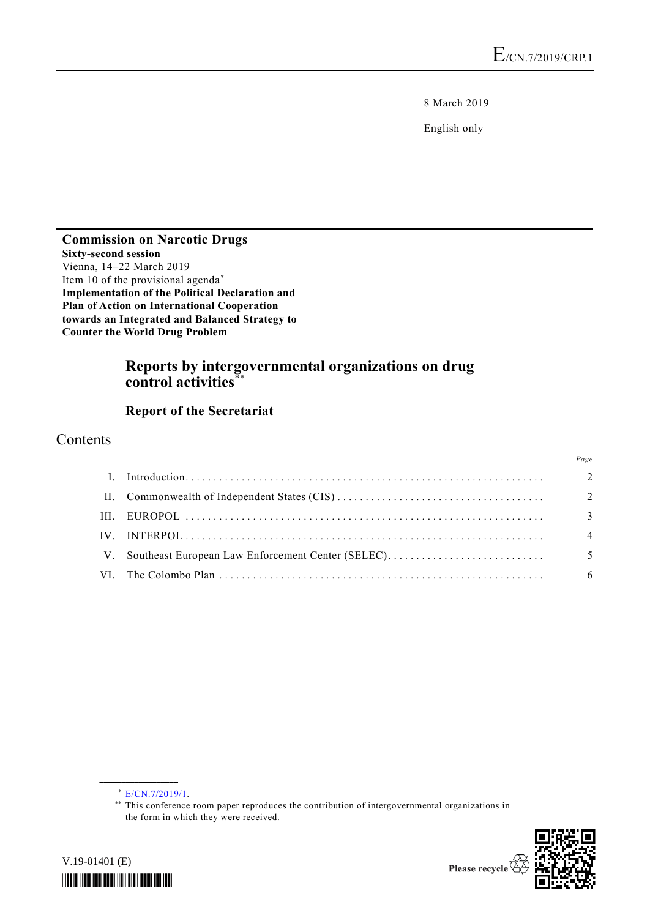8 March 2019

English only

**Commission on Narcotic Drugs Sixty-second session** Vienna, 14–22 March 2019 Item 10 of the provisional agenda\* **Implementation of the Political Declaration and Plan of Action on International Cooperation towards an Integrated and Balanced Strategy to Counter the World Drug Problem**

# **Reports by intergovernmental organizations on drug control activities**\*\*

### **Report of the Secretariat**

## Contents

|                |                                                      | Page           |
|----------------|------------------------------------------------------|----------------|
| $\mathbf{I}$ . |                                                      | $\overline{2}$ |
|                |                                                      | $\overline{2}$ |
|                |                                                      | $\overline{3}$ |
|                |                                                      | $\overline{4}$ |
|                | V. Southeast European Law Enforcement Center (SELEC) | $\overline{5}$ |
|                |                                                      | - 6            |

\* [E/CN.7/2019/1.](http://undocs.org/E/CN.7/2018/1)

**\_\_\_\_\_\_\_\_\_\_\_\_\_\_\_\_\_\_**

V.19-01401 (E)

*\*1901401\**

<sup>\*\*</sup> This conference room paper reproduces the contribution of intergovernmental organizations in the form in which they were received.

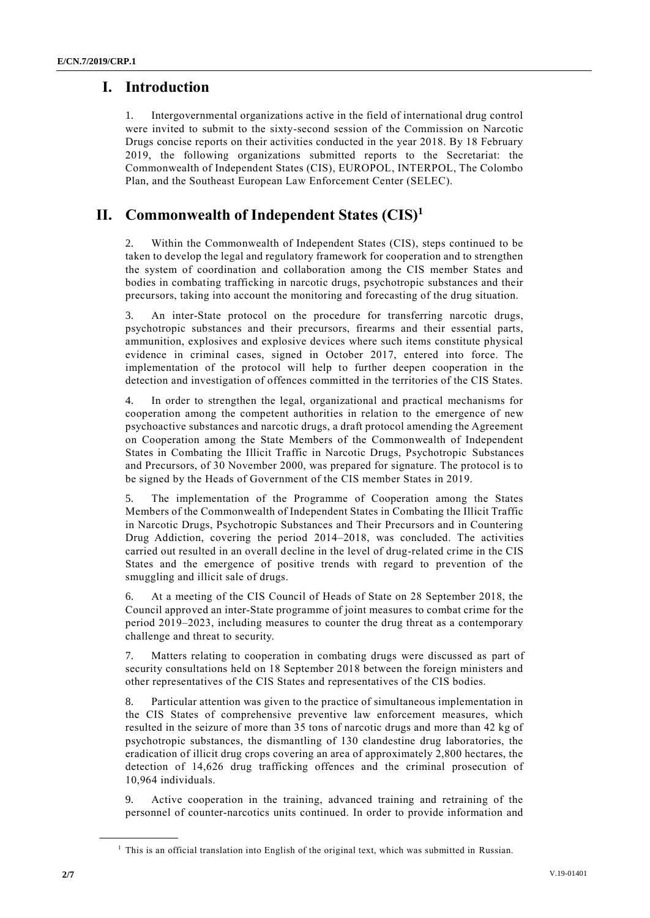## **I. Introduction**

1. Intergovernmental organizations active in the field of international drug control were invited to submit to the sixty-second session of the Commission on Narcotic Drugs concise reports on their activities conducted in the year 2018. By 18 February 2019, the following organizations submitted reports to the Secretariat: the Commonwealth of Independent States (CIS), EUROPOL, INTERPOL, The Colombo Plan, and the Southeast European Law Enforcement Center (SELEC).

# **II. Commonwealth of Independent States (CIS)<sup>1</sup>**

Within the Commonwealth of Independent States (CIS), steps continued to be taken to develop the legal and regulatory framework for cooperation and to strengthen the system of coordination and collaboration among the CIS member States and bodies in combating trafficking in narcotic drugs, psychotropic substances and their precursors, taking into account the monitoring and forecasting of the drug situation.

An inter-State protocol on the procedure for transferring narcotic drugs, psychotropic substances and their precursors, firearms and their essential parts, ammunition, explosives and explosive devices where such items constitute physical evidence in criminal cases, signed in October 2017, entered into force. The implementation of the protocol will help to further deepen cooperation in the detection and investigation of offences committed in the territories of the CIS States.

4. In order to strengthen the legal, organizational and practical mechanisms for cooperation among the competent authorities in relation to the emergence of new psychoactive substances and narcotic drugs, a draft protocol amending the Agreement on Cooperation among the State Members of the Commonwealth of Independent States in Combating the Illicit Traffic in Narcotic Drugs, Psychotropic Substances and Precursors, of 30 November 2000, was prepared for signature. The protocol is to be signed by the Heads of Government of the CIS member States in 2019.

5. The implementation of the Programme of Cooperation among the States Members of the Commonwealth of Independent States in Combating the Illicit Traffic in Narcotic Drugs, Psychotropic Substances and Their Precursors and in Countering Drug Addiction, covering the period 2014–2018, was concluded. The activities carried out resulted in an overall decline in the level of drug-related crime in the CIS States and the emergence of positive trends with regard to prevention of the smuggling and illicit sale of drugs.

6. At a meeting of the CIS Council of Heads of State on 28 September 2018, the Council approved an inter-State programme of joint measures to combat crime for the period 2019–2023, including measures to counter the drug threat as a contemporary challenge and threat to security.

7. Matters relating to cooperation in combating drugs were discussed as part of security consultations held on 18 September 2018 between the foreign ministers and other representatives of the CIS States and representatives of the CIS bodies.

8. Particular attention was given to the practice of simultaneous implementation in the CIS States of comprehensive preventive law enforcement measures, which resulted in the seizure of more than 35 tons of narcotic drugs and more than 42 kg of psychotropic substances, the dismantling of 130 clandestine drug laboratories, the eradication of illicit drug crops covering an area of approximately 2,800 hectares, the detection of 14,626 drug trafficking offences and the criminal prosecution of 10,964 individuals.

9. Active cooperation in the training, advanced training and retraining of the personnel of counter-narcotics units continued. In order to provide information and

**\_\_\_\_\_\_\_\_\_\_\_\_\_\_\_\_\_\_**

<sup>&</sup>lt;sup>1</sup> This is an official translation into English of the original text, which was submitted in Russian.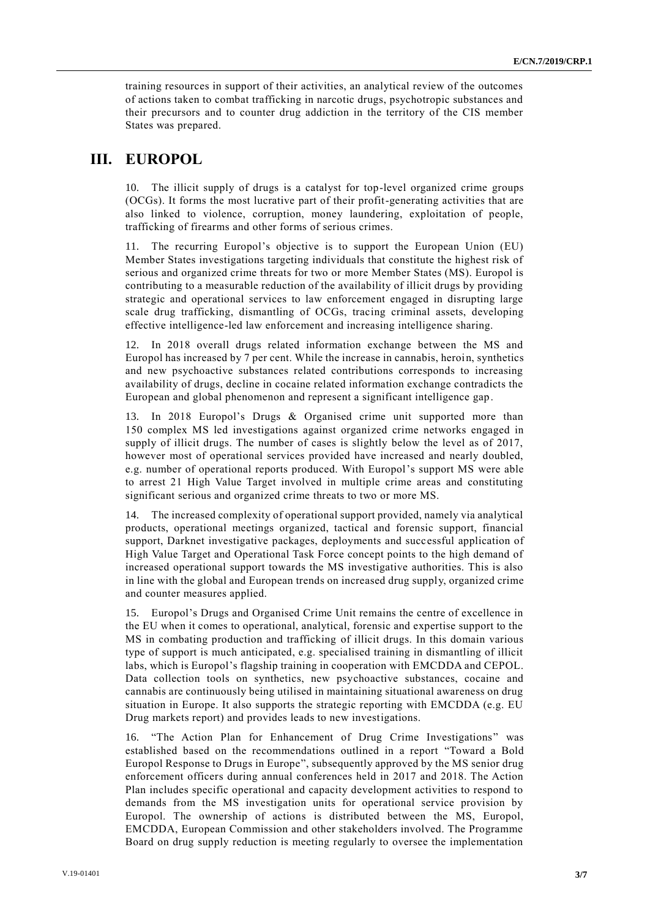training resources in support of their activities, an analytical review of the outcomes of actions taken to combat trafficking in narcotic drugs, psychotropic substances and their precursors and to counter drug addiction in the territory of the CIS member States was prepared.

## **III. EUROPOL**

10. The illicit supply of drugs is a catalyst for top-level organized crime groups (OCGs). It forms the most lucrative part of their profit-generating activities that are also linked to violence, corruption, money laundering, exploitation of people, trafficking of firearms and other forms of serious crimes.

11. The recurring Europol's objective is to support the European Union (EU) Member States investigations targeting individuals that constitute the highest risk of serious and organized crime threats for two or more Member States (MS). Europol is contributing to a measurable reduction of the availability of illicit drugs by providing strategic and operational services to law enforcement engaged in disrupting large scale drug trafficking, dismantling of OCGs, tracing criminal assets, developing effective intelligence-led law enforcement and increasing intelligence sharing.

12. In 2018 overall drugs related information exchange between the MS and Europol has increased by 7 per cent. While the increase in cannabis, heroin, synthetics and new psychoactive substances related contributions corresponds to increasing availability of drugs, decline in cocaine related information exchange contradicts the European and global phenomenon and represent a significant intelligence gap.

13. In 2018 Europol's Drugs & Organised crime unit supported more than 150 complex MS led investigations against organized crime networks engaged in supply of illicit drugs. The number of cases is slightly below the level as of 2017, however most of operational services provided have increased and nearly doubled, e.g. number of operational reports produced. With Europol's support MS were able to arrest 21 High Value Target involved in multiple crime areas and constituting significant serious and organized crime threats to two or more MS.

14. The increased complexity of operational support provided, namely via analytical products, operational meetings organized, tactical and forensic support, financial support, Darknet investigative packages, deployments and successful application of High Value Target and Operational Task Force concept points to the high demand of increased operational support towards the MS investigative authorities. This is also in line with the global and European trends on increased drug supply, organized crime and counter measures applied.

15. Europol's Drugs and Organised Crime Unit remains the centre of excellence in the EU when it comes to operational, analytical, forensic and expertise support to the MS in combating production and trafficking of illicit drugs. In this domain various type of support is much anticipated, e.g. specialised training in dismantling of illicit labs, which is Europol's flagship training in cooperation with EMCDDA and CEPOL. Data collection tools on synthetics, new psychoactive substances, cocaine and cannabis are continuously being utilised in maintaining situational awareness on drug situation in Europe. It also supports the strategic reporting with EMCDDA (e.g. EU Drug markets report) and provides leads to new investigations.

16. "The Action Plan for Enhancement of Drug Crime Investigations" was established based on the recommendations outlined in a report "Toward a Bold Europol Response to Drugs in Europe", subsequently approved by the MS senior drug enforcement officers during annual conferences held in 2017 and 2018. The Action Plan includes specific operational and capacity development activities to respond to demands from the MS investigation units for operational service provision by Europol. The ownership of actions is distributed between the MS, Europol, EMCDDA, European Commission and other stakeholders involved. The Programme Board on drug supply reduction is meeting regularly to oversee the implementation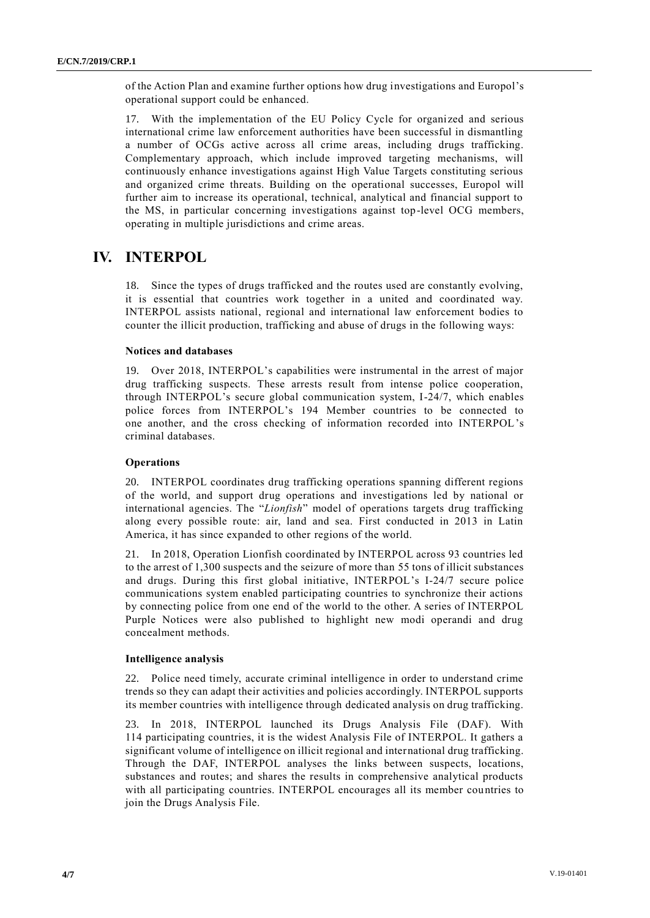of the Action Plan and examine further options how drug investigations and Europol's operational support could be enhanced.

17. With the implementation of the EU Policy Cycle for organized and serious international crime law enforcement authorities have been successful in dismantling a number of OCGs active across all crime areas, including drugs trafficking. Complementary approach, which include improved targeting mechanisms, will continuously enhance investigations against High Value Targets constituting serious and organized crime threats. Building on the operational successes, Europol will further aim to increase its operational, technical, analytical and financial support to the MS, in particular concerning investigations against top-level OCG members, operating in multiple jurisdictions and crime areas.

## **IV. INTERPOL**

18. Since the types of drugs trafficked and the routes used are constantly evolving, it is essential that countries work together in a united and coordinated way. INTERPOL assists national, regional and international law enforcement bodies to counter the illicit production, trafficking and abuse of drugs in the following ways:

### **Notices and databases**

19. Over 2018, INTERPOL's capabilities were instrumental in the arrest of major drug trafficking suspects. These arrests result from intense police cooperation, through INTERPOL's secure global communication system, I-24/7, which enables police forces from INTERPOL's 194 Member countries to be connected to one another, and the cross checking of information recorded into INTERPOL's criminal databases.

### **Operations**

20. INTERPOL coordinates drug trafficking operations spanning different regions of the world, and support drug operations and investigations led by national or international agencies. The "*Lionfish*" model of operations targets drug trafficking along every possible route: air, land and sea. First conducted in 2013 in Latin America, it has since expanded to other regions of the world.

21. In 2018, Operation Lionfish coordinated by INTERPOL across 93 countries led to the arrest of 1,300 suspects and the seizure of more than 55 tons of illicit substances and drugs. During this first global initiative, INTERPOL's I-24/7 secure police communications system enabled participating countries to synchronize their actions by connecting police from one end of the world to the other. A series of INTERPOL Purple Notices were also published to highlight new modi operandi and drug concealment methods.

### **Intelligence analysis**

22. Police need timely, accurate criminal intelligence in order to understand crime trends so they can adapt their activities and policies accordingly. INTERPOL supports its member countries with intelligence through dedicated analysis on drug trafficking.

23. In 2018, INTERPOL launched its Drugs Analysis File (DAF). With 114 participating countries, it is the widest Analysis File of INTERPOL. It gathers a significant volume of intelligence on illicit regional and international drug trafficking. Through the DAF, INTERPOL analyses the links between suspects, locations, substances and routes; and shares the results in comprehensive analytical products with all participating countries. INTERPOL encourages all its member countries to join the Drugs Analysis File.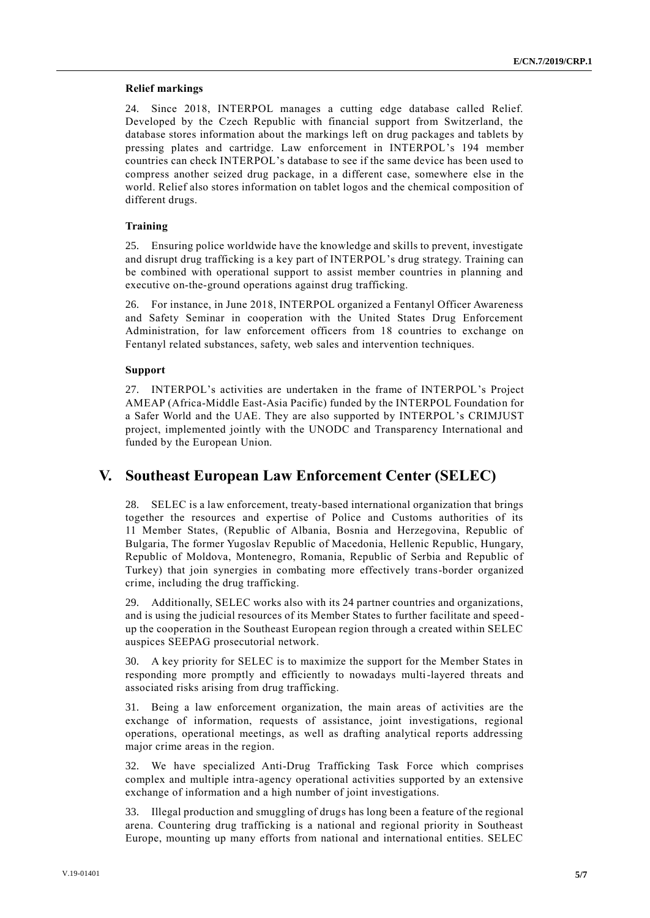### **Relief markings**

24. Since 2018, INTERPOL manages a cutting edge database called Relief. Developed by the Czech Republic with financial support from Switzerland, the database stores information about the markings left on drug packages and tablets by pressing plates and cartridge. Law enforcement in INTERPOL's 194 member countries can check INTERPOL's database to see if the same device has been used to compress another seized drug package, in a different case, somewhere else in the world. Relief also stores information on tablet logos and the chemical composition of different drugs.

### **Training**

25. Ensuring police worldwide have the knowledge and skills to prevent, investigate and disrupt drug trafficking is a key part of INTERPOL's drug strategy. Training can be combined with operational support to assist member countries in planning and executive on-the-ground operations against drug trafficking.

26. For instance, in June 2018, INTERPOL organized a Fentanyl Officer Awareness and Safety Seminar in cooperation with the United States Drug Enforcement Administration, for law enforcement officers from 18 countries to exchange on Fentanyl related substances, safety, web sales and intervention techniques.

### **Support**

27. INTERPOL's activities are undertaken in the frame of INTERPOL's Project AMEAP (Africa-Middle East-Asia Pacific) funded by the INTERPOL Foundation for a Safer World and the UAE. They are also supported by INTERPOL's CRIMJUST project, implemented jointly with the UNODC and Transparency International and funded by the European Union.

## **V. Southeast European Law Enforcement Center (SELEC)**

28. SELEC is a law enforcement, treaty-based international organization that brings together the resources and expertise of Police and Customs authorities of its 11 Member States, (Republic of Albania, Bosnia and Herzegovina, Republic of Bulgaria, The former Yugoslav Republic of Macedonia, Hellenic Republic, Hungary, Republic of Moldova, Montenegro, Romania, Republic of Serbia and Republic of Turkey) that join synergies in combating more effectively trans-border organized crime, including the drug trafficking.

29. Additionally, SELEC works also with its 24 partner countries and organizations, and is using the judicial resources of its Member States to further facilitate and speed up the cooperation in the Southeast European region through a created within SELEC auspices SEEPAG prosecutorial network.

30. A key priority for SELEC is to maximize the support for the Member States in responding more promptly and efficiently to nowadays multi-layered threats and associated risks arising from drug trafficking.

31. Being a law enforcement organization, the main areas of activities are the exchange of information, requests of assistance, joint investigations, regional operations, operational meetings, as well as drafting analytical reports addressing major crime areas in the region.

32. We have specialized Anti-Drug Trafficking Task Force which comprises complex and multiple intra-agency operational activities supported by an extensive exchange of information and a high number of joint investigations.

33. Illegal production and smuggling of drugs has long been a feature of the regional arena. Countering drug trafficking is a national and regional priority in Southeast Europe, mounting up many efforts from national and international entities. SELEC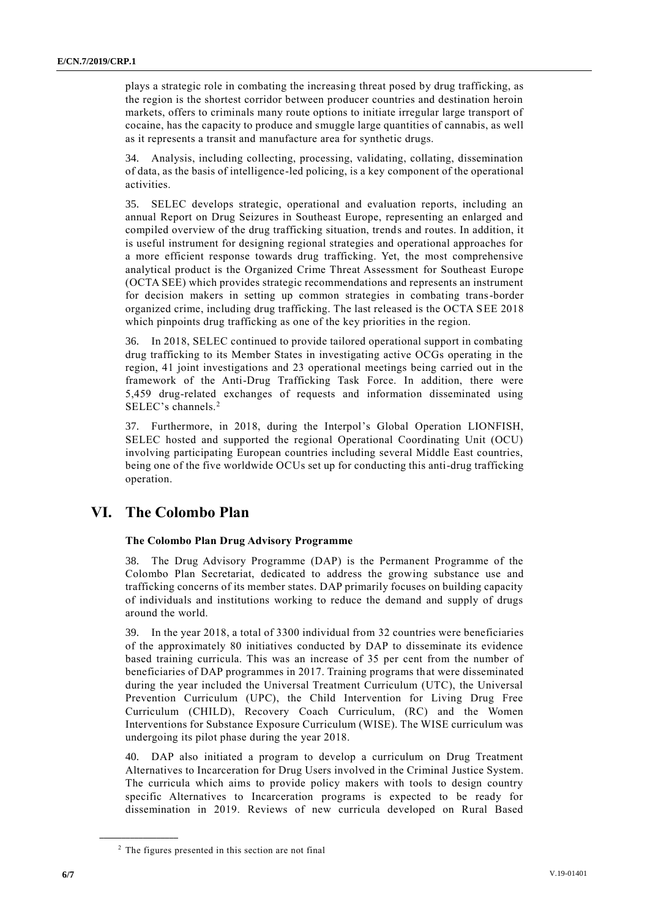plays a strategic role in combating the increasing threat posed by drug trafficking, as the region is the shortest corridor between producer countries and destination heroin markets, offers to criminals many route options to initiate irregular large transport of cocaine, has the capacity to produce and smuggle large quantities of cannabis, as well as it represents a transit and manufacture area for synthetic drugs.

Analysis, including collecting, processing, validating, collating, dissemination of data, as the basis of intelligence-led policing, is a key component of the operational activities.

35. SELEC develops strategic, operational and evaluation reports, including an annual Report on Drug Seizures in Southeast Europe, representing an enlarged and compiled overview of the drug trafficking situation, trends and routes. In addition, it is useful instrument for designing regional strategies and operational approaches for a more efficient response towards drug trafficking. Yet, the most comprehensive analytical product is the Organized Crime Threat Assessment for Southeast Europe (OCTA SEE) which provides strategic recommendations and represents an instrument for decision makers in setting up common strategies in combating trans-border organized crime, including drug trafficking. The last released is the OCTA SEE 2018 which pinpoints drug trafficking as one of the key priorities in the region.

36. In 2018, SELEC continued to provide tailored operational support in combating drug trafficking to its Member States in investigating active OCGs operating in the region, 41 joint investigations and 23 operational meetings being carried out in the framework of the Anti-Drug Trafficking Task Force. In addition, there were 5,459 drug-related exchanges of requests and information disseminated using SELEC's channels.<sup>2</sup>

37. Furthermore, in 2018, during the Interpol's Global Operation LIONFISH, SELEC hosted and supported the regional Operational Coordinating Unit (OCU) involving participating European countries including several Middle East countries, being one of the five worldwide OCUs set up for conducting this anti-drug trafficking operation.

## **VI. The Colombo Plan**

### **The Colombo Plan Drug Advisory Programme**

38. The Drug Advisory Programme (DAP) is the Permanent Programme of the Colombo Plan Secretariat, dedicated to address the growing substance use and trafficking concerns of its member states. DAP primarily focuses on building capacity of individuals and institutions working to reduce the demand and supply of drugs around the world.

39. In the year 2018, a total of 3300 individual from 32 countries were beneficiaries of the approximately 80 initiatives conducted by DAP to disseminate its evidence based training curricula. This was an increase of 35 per cent from the number of beneficiaries of DAP programmes in 2017. Training programs that were disseminated during the year included the Universal Treatment Curriculum (UTC), the Universal Prevention Curriculum (UPC), the Child Intervention for Living Drug Free Curriculum (CHILD), Recovery Coach Curriculum, (RC) and the Women Interventions for Substance Exposure Curriculum (WISE). The WISE curriculum was undergoing its pilot phase during the year 2018.

40. DAP also initiated a program to develop a curriculum on Drug Treatment Alternatives to Incarceration for Drug Users involved in the Criminal Justice System. The curricula which aims to provide policy makers with tools to design country specific Alternatives to Incarceration programs is expected to be ready for dissemination in 2019. Reviews of new curricula developed on Rural Based

**\_\_\_\_\_\_\_\_\_\_\_\_\_\_\_\_\_\_**

<sup>2</sup> The figures presented in this section are not final